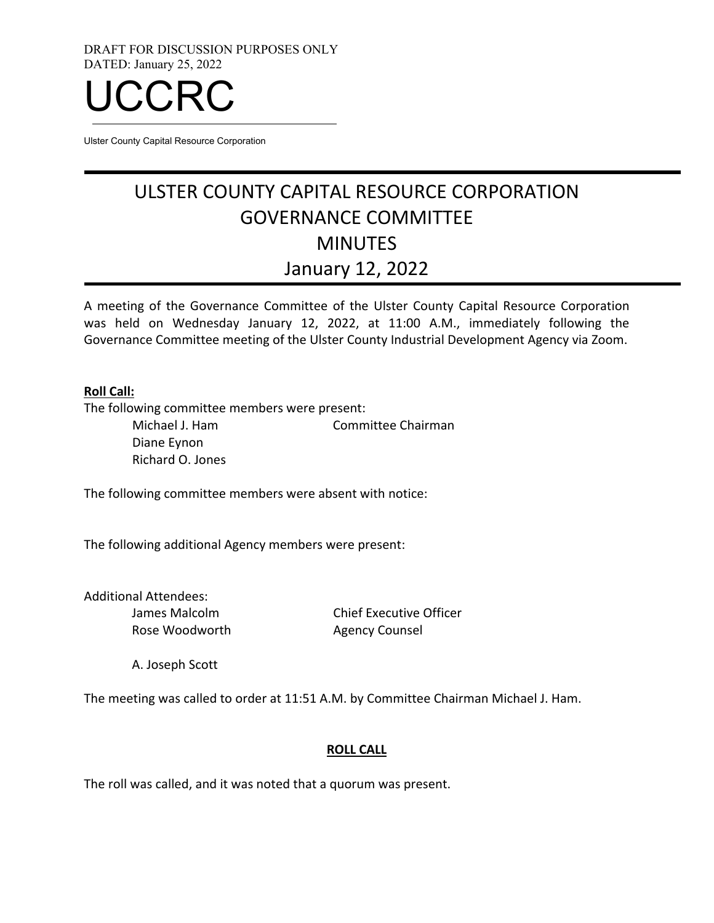DRAFT FOR DISCUSSION PURPOSES ONLY DATED: January 25, 2022



Ulster County Capital Resource Corporation

# ULSTER COUNTY CAPITAL RESOURCE CORPORATION GOVERNANCE COMMITTEE **MINUTES** January 12, 2022

A meeting of the Governance Committee of the Ulster County Capital Resource Corporation was held on Wednesday January 12, 2022, at 11:00 A.M., immediately following the Governance Committee meeting of the Ulster County Industrial Development Agency via Zoom.

#### **Roll Call:**

The following committee members were present:

Michael J. Ham Committee Chairman Diane Eynon Richard O. Jones

The following committee members were absent with notice:

The following additional Agency members were present:

Additional Attendees: James Malcolm Rose Woodworth

Chief Executive Officer Agency Counsel

A. Joseph Scott

The meeting was called to order at 11:51 A.M. by Committee Chairman Michael J. Ham.

#### **ROLL CALL**

The roll was called, and it was noted that a quorum was present.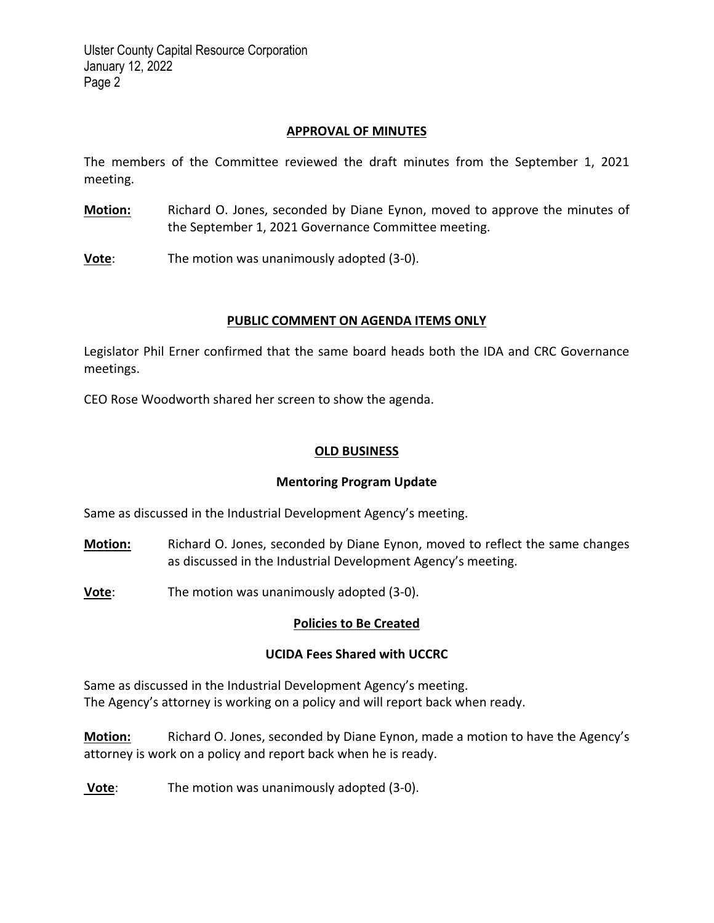### **APPROVAL OF MINUTES**

The members of the Committee reviewed the draft minutes from the September 1, 2021 meeting.

- **Motion:** Richard O. Jones, seconded by Diane Eynon, moved to approve the minutes of the September 1, 2021 Governance Committee meeting.
- **Vote**: The motion was unanimously adopted (3-0).

#### **PUBLIC COMMENT ON AGENDA ITEMS ONLY**

Legislator Phil Erner confirmed that the same board heads both the IDA and CRC Governance meetings.

CEO Rose Woodworth shared her screen to show the agenda.

#### **OLD BUSINESS**

#### **Mentoring Program Update**

Same as discussed in the Industrial Development Agency's meeting.

- **Motion:** Richard O. Jones, seconded by Diane Eynon, moved to reflect the same changes as discussed in the Industrial Development Agency's meeting.
- **Vote**: The motion was unanimously adopted (3-0).

#### **Policies to Be Created**

#### **UCIDA Fees Shared with UCCRC**

Same as discussed in the Industrial Development Agency's meeting. The Agency's attorney is working on a policy and will report back when ready.

**Motion:** Richard O. Jones, seconded by Diane Eynon, made a motion to have the Agency's attorney is work on a policy and report back when he is ready.

**Vote**: The motion was unanimously adopted (3‐0).